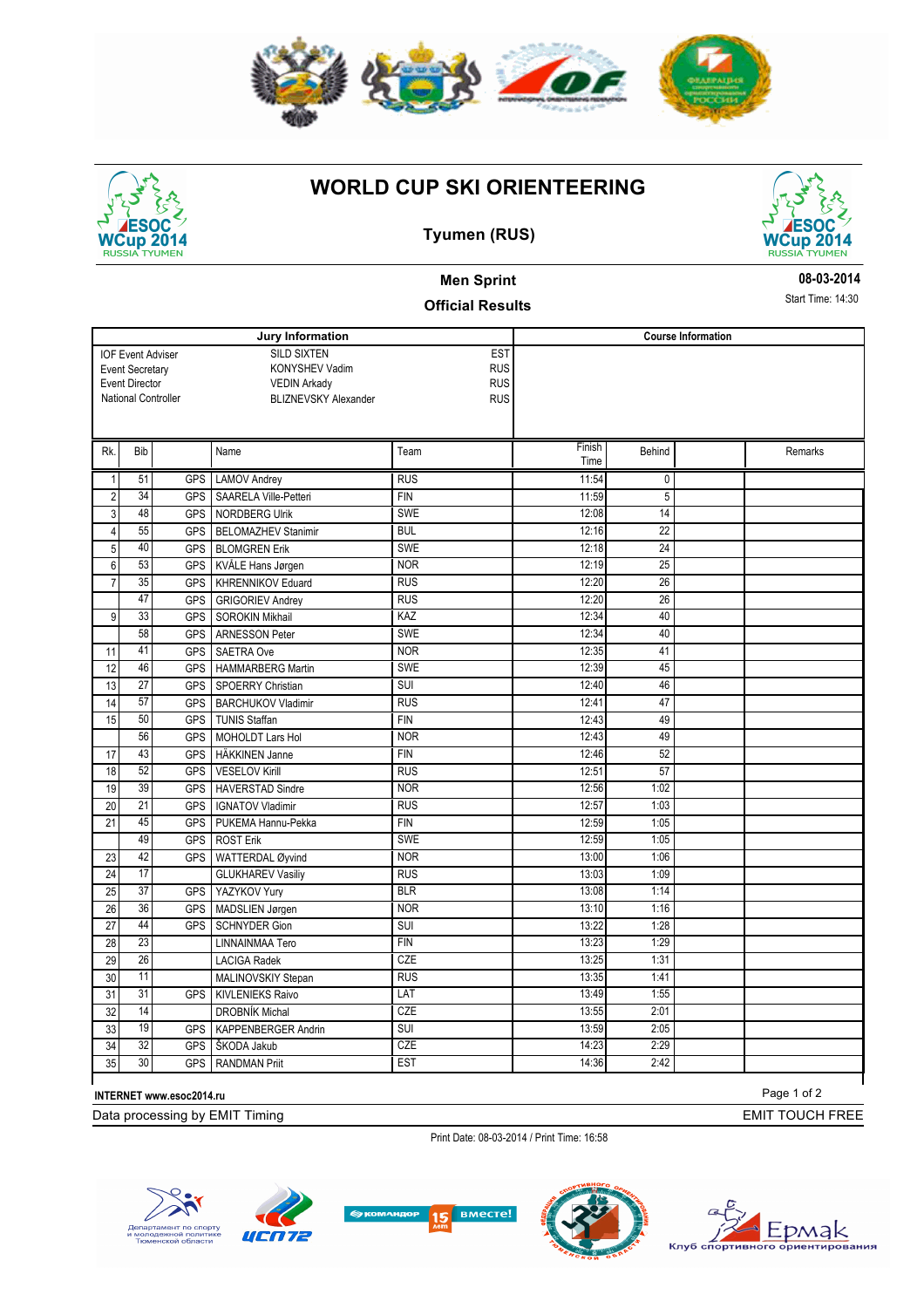

## **WORLD CUP SKI ORIENTEERING**



#### **Tyumen (RUS)**



**08-03-2014** Start Time: 14:30

# **Men Sprint**

### **Official Results**

**Jury Information** SILD SIXTEN KONYSHEV Vadim VEDIN Arkady National Controller BLIZNEVSKY Alexander **EST RUS** RUS RUS **Course Information** IOF Event Adviser Event Secretary Event Director Rk. Bib Name Rk. Ream Finish Time Behind Remarks 1 51 GPS LAMOV Andrey RUS RUS 11:54 0 2 34 GPS SAARELA Ville-Petteri FIN FIN 11:59 5 3 48 GPS NORDBERG Ulrik SWE 12:08 14 4 55 GPS BELOMAZHEV Stanimir BUL 12:16 12:16 22 5 40 GPS BLOMGREN Erik SWE SWE 12:18 24 6 53 GPS KVÅLE Hans Jørgen NOR NOR 12:19 25 7 35 GPS KHRENNIKOV Eduard RUS RUS 12:20 12:20 47 GPS GRIGORIEV Andrey RUS RUS 12:20 26 9 33 GPS SOROKIN Mikhail | KAZ 12:34 40 58 GPS ARNESSON Peter SWE SWE 12:34 40 11 41 GPS SAETRA Ove NOR 12:35 41 12 46 GPS HAMMARBERG Martin SWE SWE 12:39 45 13 27 GPS SPOERRY Christian SUI 12:40 12:40 46 14 57 GPS BARCHUKOV Vladimir RUS RUS 12:41 47 15 50 GPS TUNIS Staffan FIN FIN 12:43 49 56 GPS MOHOLDT Lars Hol NOR NOR 12:43 49 17 43 GPS HÄKKINEN Janne FIN 12:46 52 18 52 GPS VESELOV Kirill RUS 12:51 57 19 39 GPS HAVERSTAD Sindre NOR NOR 12:56 1:02 20 21 GPS IGNATOV Vladimir RUS RUS 12:57 1:03 21 45 GPS PUKEMA Hannu-Pekka FIN FIN 12:59 1:05 49 GPS ROST Erik SWE 12:59 1:05 23 42 GPS WATTERDAL Øyvind NOR 13:00 1:06 24 17 GLUKHAREV Vasiliy RUS 13:03 1:09 25 37 GPS YAZYKOV Yury **BLR** 13:08 1:14 26 36 GPS MADSLIEN Jørgen NOR NOR 13:10 1:16 27 44 GPS SCHNYDER Gion SUI 3UI 13:22 1:28 28 23 LINNAINMAA Tero FIN FIN 13:23 1:29 29 26 LACIGA Radek CZE 13:25 1:31 30 11 MALINOVSKIY Stepan RUS RUS 13:35 1:41 31 31 GPS KIVLENIEKS Raivo LAT 13:49 1:55 32 14 DROBNÍK Michal CZE 13:55 2:01 33 19 GPS KAPPENBERGER Andrin SUI 13:59 2:05 34 32 GPS SKODA Jakub CZE 14:23 2:29 35 30 GPS RANDMAN Priit EST 14:36 2:42

**INTERNET www.esoc2014.ru**

Data processing by EMIT Timing

Print Date: 08-03-2014 / Print Time: 16:58











Page 1 of 2

EMIT TOUCH FREE

Timing